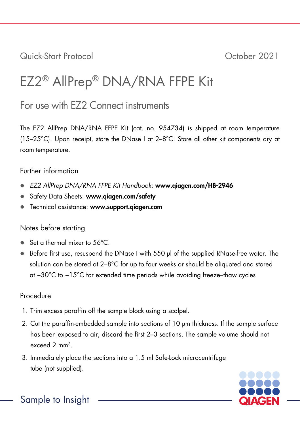Quick-Start Protocol October 2021

# EZ2® AllPrep® DNA/RNA FFPE Kit

# For use with EZ2 Connect instruments

The EZ2 AllPrep DNA/RNA FFPE Kit (cat. no. 954734) is shipped at room temperature (15–25°C). Upon receipt, store the DNase I at 2–8°C. Store all other kit components dry at room temperature.

## Further information

- *EZ2 AllPrep DNA/RNA FFPE Kit Handbook*: www.qiagen.com/HB-2946
- Safety Data Sheets: www.giagen.com/safety
- **Technical assistance: www.support.giagen.com**

## Notes before starting

- Set a thermal mixer to 56°C.
- Before first use, resuspend the DNase I with 550 µl of the supplied RNase-free water. The solution can be stored at  $2-8^{\circ}$ C for up to four weeks or should be aliquoted and stored at −30°C to −15°C for extended time periods while avoiding freeze–thaw cycles

## Procedure

- 1. Trim excess paraffin off the sample block using a scalpel.
- 2. Cut the paraffin-embedded sample into sections of 10 µm thickness. If the sample surface has been exposed to air, discard the first 2–3 sections. The sample volume should not  $e^{x \cdot e}$ ed  $2 \, \text{mm}^3$
- 3. Immediately place the sections into a 1.5 ml Safe-Lock microcentrifuge tube (not supplied).



Sample to Insight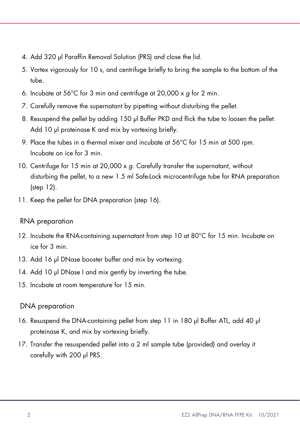- 4. Add 320 µl Paraffin Removal Solution (PRS) and close the lid.
- 5. Vortex vigorously for 10 s, and centrifuge briefly to bring the sample to the bottom of the tube.
- 6. Incubate at 56°C for 3 min and centrifuge at 20,000 x *g* for 2 min.
- 7. Carefully remove the supernatant by pipetting without disturbing the pellet.
- 8. Resuspend the pellet by adding 150 µl Buffer PKD and flick the tube to loosen the pellet. Add 10 µl proteinase K and mix by vortexing briefly.
- 9. Place the tubes in a thermal mixer and incubate at 56°C for 15 min at 500 rpm. Incubate on ice for 3 min.
- 10. Centrifuge for 15 min at 20,000 x *g*. Carefully transfer the supernatant, without disturbing the pellet, to a new 1.5 ml Safe-Lock microcentrifuge tube for RNA preparation (step 12).
- 11. Keep the pellet for DNA preparation (step 16).

## RNA preparation

- 12. Incubate the RNA-containing supernatant from step 10 at 80°C for 15 min. Incubate on ice for 3 min.
- 13. Add 16 µl DNase booster buffer and mix by vortexing.
- 14. Add 10 µl DNase I and mix gently by inverting the tube.
- 15. Incubate at room temperature for 15 min.

## DNA preparation

- 16. Resuspend the DNA-containing pellet from step 11 in 180 µl Buffer ATL, add 40 µl proteinase K, and mix by vortexing briefly.
- 17. Transfer the resuspended pellet into a 2 ml sample tube (provided) and overlay it carefully with 200 µl PRS.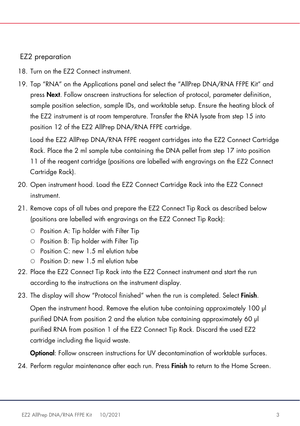#### EZ2 preparation

- 18. Turn on the F72 Connect instrument.
- 19. Tap "RNA" on the Applications panel and select the "AllPrep DNA/RNA FFPE Kit" and press **Next**. Follow onscreen instructions for selection of protocol, parameter definition, sample position selection, sample IDs, and worktable setup. Ensure the heating block of the EZ2 instrument is at room temperature. Transfer the RNA lysate from step 15 into position 12 of the EZ2 AllPrep DNA/RNA FFPE cartridge.

Load the EZ2 AllPrep DNA/RNA FFPE reagent cartridges into the EZ2 Connect Cartridge Rack. Place the 2 ml sample tube containing the DNA pellet from step 17 into position 11 of the reagent cartridge (positions are labelled with engravings on the EZ2 Connect Cartridge Rack).

- 20. Open instrument hood. Load the EZ2 Connect Cartridge Rack into the EZ2 Connect instrument.
- 21. Remove caps of all tubes and prepare the EZ2 Connect Tip Rack as described below (positions are labelled with engravings on the EZ2 Connect Tip Rack):
	- $\circ$  Position A: Tip holder with Filter Tip
	- $\circ$  Position B: Tip holder with Filter Tip
	- Position C: new 1.5 ml elution tube
	- Position D: new 1.5 ml elution tube
- 22. Place the EZ2 Connect Tip Rack into the EZ2 Connect instrument and start the run according to the instructions on the instrument display.
- 23. The display will show "Protocol finished" when the run is completed. Select Finish.

Open the instrument hood. Remove the elution tube containing approximately 100 µl purified DNA from position 2 and the elution tube containing approximately 60 µl purified RNA from position 1 of the EZ2 Connect Tip Rack. Discard the used EZ2 cartridge including the liquid waste.

**Optional:** Follow onscreen instructions for UV decontamination of worktable surfaces.

24. Perform regular maintenance after each run. Press Finish to return to the Home Screen.